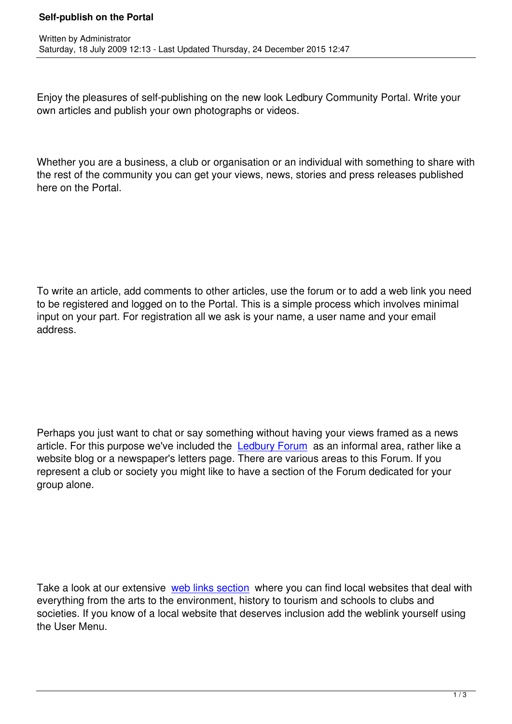Written by Administrator and Administrator and Administrator and Administrator and Administrator and Administrator and Administrator and Administrator and Administrator and Administrator and Administrator and Administrator

Enjoy the pleasures of self-publishing on the new look Ledbury Community Portal. Write your own articles and publish your own photographs or videos.

Whether you are a business, a club or organisation or an individual with something to share with the rest of the community you can get your views, news, stories and press releases published here on the Portal.

To write an article, add comments to other articles, use the forum or to add a web link you need to be registered and logged on to the Portal. This is a simple process which involves minimal input on your part. For registration all we ask is your name, a user name and your email address.

Perhaps you just want to chat or say something without having your views framed as a news article. For this purpose we've included the Ledbury Forum as an informal area, rather like a website blog or a newspaper's letters page. There are various areas to this Forum. If you represent a club or society you might like to have a section of the Forum dedicated for your group alone.

Take a look at our extensive web links section where you can find local websites that deal with everything from the arts to the environment, history to tourism and schools to clubs and societies. If you know of a local website that deserves inclusion add the weblink yourself using the User Menu.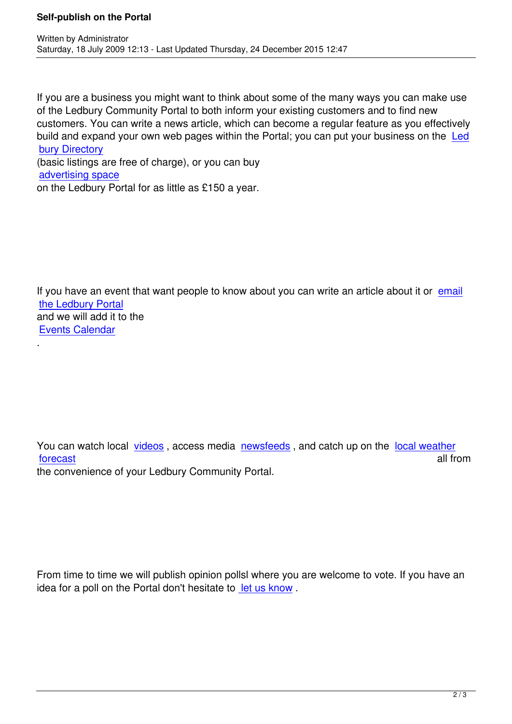If you are a business you might want to think about some of the many ways you can make use of the Ledbury Community Portal to both inform your existing customers and to find new customers. You can write a news article, which can become a regular feature as you effectively build and expand your own web pages within the Portal; you can put your business on the Led bury Directory

(basic listings are free of charge), or you can buy advertising space [on the Ledbury](index.php?option=com_sobi2&Itemid=278) Portal for as little as £150 a year.

[.](mailto:admin@ledburyportal.co.uk)

If you have an event that want people to know about you can write an article about it or email the Ledbury Portal and we will add it to the Events Calendar

You can watch local videos, access media newsfeeds, and catch up on the local weather forecast all from the convenience of your Ledbury Community Portal.

From time to time we will publish opinion pollsl where you are welcome to vote. If you have an idea for a poll on the Portal don't hesitate to let us know .